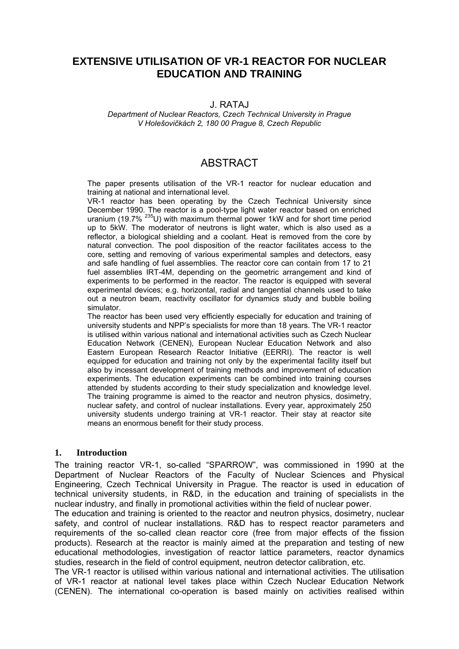# **EXTENSIVE UTILISATION OF VR-1 REACTOR FOR NUCLEAR EDUCATION AND TRAINING**

J. RATAJ

*Department of Nuclear Reactors, Czech Technical University in Prague V Holešovičkách 2, 180 00 Prague 8, Czech Republic* 

# ABSTRACT

The paper presents utilisation of the VR-1 reactor for nuclear education and training at national and international level.

VR-1 reactor has been operating by the Czech Technical University since December 1990. The reactor is a pool-type light water reactor based on enriched uranium (19.7% <sup>235</sup>U) with maximum thermal power 1kW and for short time period up to 5kW. The moderator of neutrons is light water, which is also used as a reflector, a biological shielding and a coolant. Heat is removed from the core by natural convection. The pool disposition of the reactor facilitates access to the core, setting and removing of various experimental samples and detectors, easy and safe handling of fuel assemblies. The reactor core can contain from 17 to 21 fuel assemblies IRT-4M, depending on the geometric arrangement and kind of experiments to be performed in the reactor. The reactor is equipped with several experimental devices; e.g. horizontal, radial and tangential channels used to take out a neutron beam, reactivity oscillator for dynamics study and bubble boiling simulator.

The reactor has been used very efficiently especially for education and training of university students and NPP's specialists for more than 18 years. The VR-1 reactor is utilised within various national and international activities such as Czech Nuclear Education Network (CENEN), European Nuclear Education Network and also Eastern European Research Reactor Initiative (EERRI). The reactor is well equipped for education and training not only by the experimental facility itself but also by incessant development of training methods and improvement of education experiments. The education experiments can be combined into training courses attended by students according to their study specialization and knowledge level. The training programme is aimed to the reactor and neutron physics, dosimetry, nuclear safety, and control of nuclear installations. Every year, approximately 250 university students undergo training at VR-1 reactor. Their stay at reactor site means an enormous benefit for their study process.

#### **1. Introduction**

The training reactor VR-1, so-called "SPARROW", was commissioned in 1990 at the Department of Nuclear Reactors of the Faculty of Nuclear Sciences and Physical Engineering, Czech Technical University in Prague. The reactor is used in education of technical university students, in R&D, in the education and training of specialists in the nuclear industry, and finally in promotional activities within the field of nuclear power.

The education and training is oriented to the reactor and neutron physics, dosimetry, nuclear safety, and control of nuclear installations. R&D has to respect reactor parameters and requirements of the so-called clean reactor core (free from major effects of the fission products). Research at the reactor is mainly aimed at the preparation and testing of new educational methodologies, investigation of reactor lattice parameters, reactor dynamics studies, research in the field of control equipment, neutron detector calibration, etc.

The VR-1 reactor is utilised within various national and international activities. The utilisation of VR-1 reactor at national level takes place within Czech Nuclear Education Network (CENEN). The international co-operation is based mainly on activities realised within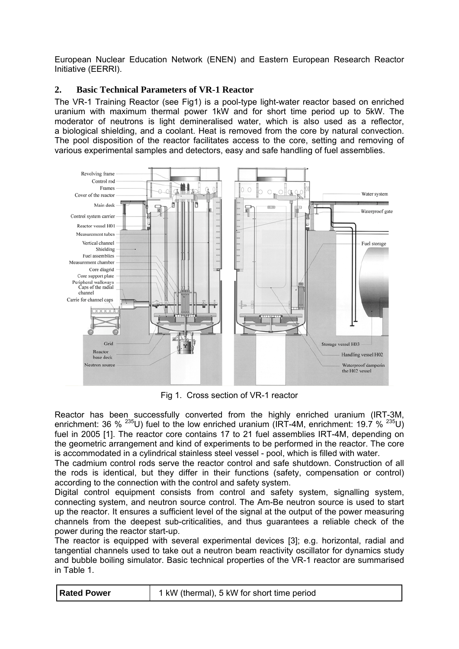European Nuclear Education Network (ENEN) and Eastern European Research Reactor Initiative (EERRI).

### **2. Basic Technical Parameters of VR-1 Reactor**

The VR-1 Training Reactor (see Fig1) is a pool-type light-water reactor based on enriched uranium with maximum thermal power 1kW and for short time period up to 5kW. The moderator of neutrons is light demineralised water, which is also used as a reflector, a biological shielding, and a coolant. Heat is removed from the core by natural convection. The pool disposition of the reactor facilitates access to the core, setting and removing of various experimental samples and detectors, easy and safe handling of fuel assemblies.



Fig 1. Cross section of VR-1 reactor

Reactor has been successfully converted from the highly enriched uranium (IRT-3M, enrichment: 36 % <sup>235</sup>U) fuel to the low enriched uranium (IRT-4M, enrichment: 19.7 % <sup>235</sup>U) fuel in 2005 [1]. The reactor core contains 17 to 21 fuel assemblies IRT-4M, depending on the geometric arrangement and kind of experiments to be performed in the reactor. The core is accommodated in a cylindrical stainless steel vessel - pool, which is filled with water.

The cadmium control rods serve the reactor control and safe shutdown. Construction of all the rods is identical, but they differ in their functions (safety, compensation or control) according to the connection with the control and safety system.

Digital control equipment consists from control and safety system, signalling system, connecting system, and neutron source control. The Am-Be neutron source is used to start up the reactor. It ensures a sufficient level of the signal at the output of the power measuring channels from the deepest sub-criticalities, and thus guarantees a reliable check of the power during the reactor start-up.

The reactor is equipped with several experimental devices [3]; e.g. horizontal, radial and tangential channels used to take out a neutron beam reactivity oscillator for dynamics study and bubble boiling simulator. Basic technical properties of the VR-1 reactor are summarised in Table 1.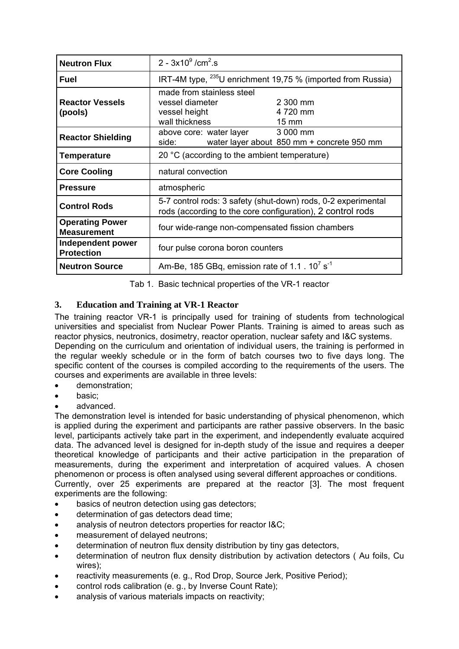| <b>Neutron Flux</b>                          | 2 - $3x10^9$ /cm <sup>2</sup> .s                                                                                            |                                            |
|----------------------------------------------|-----------------------------------------------------------------------------------------------------------------------------|--------------------------------------------|
| <b>Fuel</b>                                  | IRT-4M type, $^{235}$ U enrichment 19,75 % (imported from Russia)                                                           |                                            |
| <b>Reactor Vessels</b><br>(pools)            | made from stainless steel<br>vessel diameter<br>vessel height<br>wall thickness                                             | 2 300 mm<br>4 720 mm<br>$15 \text{ mm}$    |
| <b>Reactor Shielding</b>                     | above core: water layer 3000 mm<br>side:                                                                                    | water layer about 850 mm + concrete 950 mm |
| <b>Temperature</b>                           | 20 °C (according to the ambient temperature)                                                                                |                                            |
| <b>Core Cooling</b>                          | natural convection                                                                                                          |                                            |
| <b>Pressure</b>                              | atmospheric                                                                                                                 |                                            |
| <b>Control Rods</b>                          | 5-7 control rods: 3 safety (shut-down) rods, 0-2 experimental<br>rods (according to the core configuration), 2 control rods |                                            |
| <b>Operating Power</b><br><b>Measurement</b> | four wide-range non-compensated fission chambers                                                                            |                                            |
| Independent power<br><b>Protection</b>       | four pulse corona boron counters                                                                                            |                                            |
| <b>Neutron Source</b>                        | Am-Be, 185 GBq, emission rate of 1.1 . $10^7$ s <sup>-1</sup>                                                               |                                            |

Tab 1. Basic technical properties of the VR-1 reactor

# **3. Education and Training at VR-1 Reactor**

The training reactor VR-1 is principally used for training of students from technological universities and specialist from Nuclear Power Plants. Training is aimed to areas such as reactor physics, neutronics, dosimetry, reactor operation, nuclear safety and I&C systems. Depending on the curriculum and orientation of individual users, the training is performed in the regular weekly schedule or in the form of batch courses two to five days long. The specific content of the courses is compiled according to the requirements of the users. The courses and experiments are available in three levels:

- demonstration;
- basic:
- advanced.

The demonstration level is intended for basic understanding of physical phenomenon, which is applied during the experiment and participants are rather passive observers. In the basic level, participants actively take part in the experiment, and independently evaluate acquired data. The advanced level is designed for in-depth study of the issue and requires a deeper theoretical knowledge of participants and their active participation in the preparation of measurements, during the experiment and interpretation of acquired values. A chosen phenomenon or process is often analysed using several different approaches or conditions. Currently, over 25 experiments are prepared at the reactor [3]. The most frequent experiments are the following:

- basics of neutron detection using gas detectors;
- determination of gas detectors dead time;
- analysis of neutron detectors properties for reactor I&C;
- measurement of delayed neutrons;
- determination of neutron flux density distribution by tiny gas detectors,
- determination of neutron flux density distribution by activation detectors ( Au foils, Cu wires);
- reactivity measurements (e. g., Rod Drop, Source Jerk, Positive Period);
- control rods calibration (e. g., by Inverse Count Rate);
- analysis of various materials impacts on reactivity: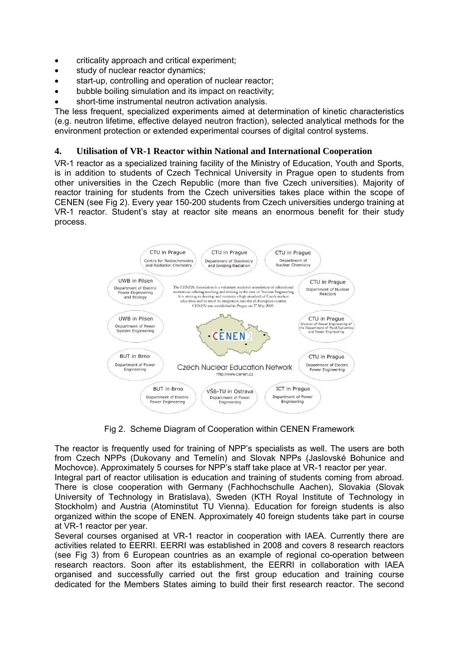- criticality approach and critical experiment;
- study of nuclear reactor dynamics;
- start-up, controlling and operation of nuclear reactor;
- bubble boiling simulation and its impact on reactivity;
- short-time instrumental neutron activation analysis.

The less frequent, specialized experiments aimed at determination of kinetic characteristics (e.g. neutron lifetime, effective delayed neutron fraction), selected analytical methods for the environment protection or extended experimental courses of digital control systems.

#### **4. Utilisation of VR-1 Reactor within National and International Cooperation**

VR-1 reactor as a specialized training facility of the Ministry of Education, Youth and Sports, is in addition to students of Czech Technical University in Prague open to students from other universities in the Czech Republic (more than five Czech universities). Majority of reactor training for students from the Czech universities takes place within the scope of CENEN (see Fig 2). Every year 150-200 students from Czech universities undergo training at VR-1 reactor. Student's stay at reactor site means an enormous benefit for their study process.



Fig 2. Scheme Diagram of Cooperation within CENEN Framework

The reactor is frequently used for training of NPP's specialists as well. The users are both from Czech NPPs (Dukovany and Temelín) and Slovak NPPs (Jaslovské Bohunice and Mochovce). Approximately 5 courses for NPP's staff take place at VR-1 reactor per year.

Integral part of reactor utilisation is education and training of students coming from abroad. There is close cooperation with Germany (Fachhochschulle Aachen), Slovakia (Slovak University of Technology in Bratislava), Sweden (KTH Royal Institute of Technology in Stockholm) and Austria (Atominstitut TU Vienna). Education for foreign students is also organized within the scope of ENEN. Approximately 40 foreign students take part in course at VR-1 reactor per year.

Several courses organised at VR-1 reactor in cooperation with IAEA. Currently there are activities related to EERRI. EERRI was established in 2008 and covers 8 research reactors (see Fig 3) from 6 European countries as an example of regional co-operation between research reactors. Soon after its establishment, the EERRI in collaboration with IAEA organised and successfully carried out the first group education and training course dedicated for the Members States aiming to build their first research reactor. The second